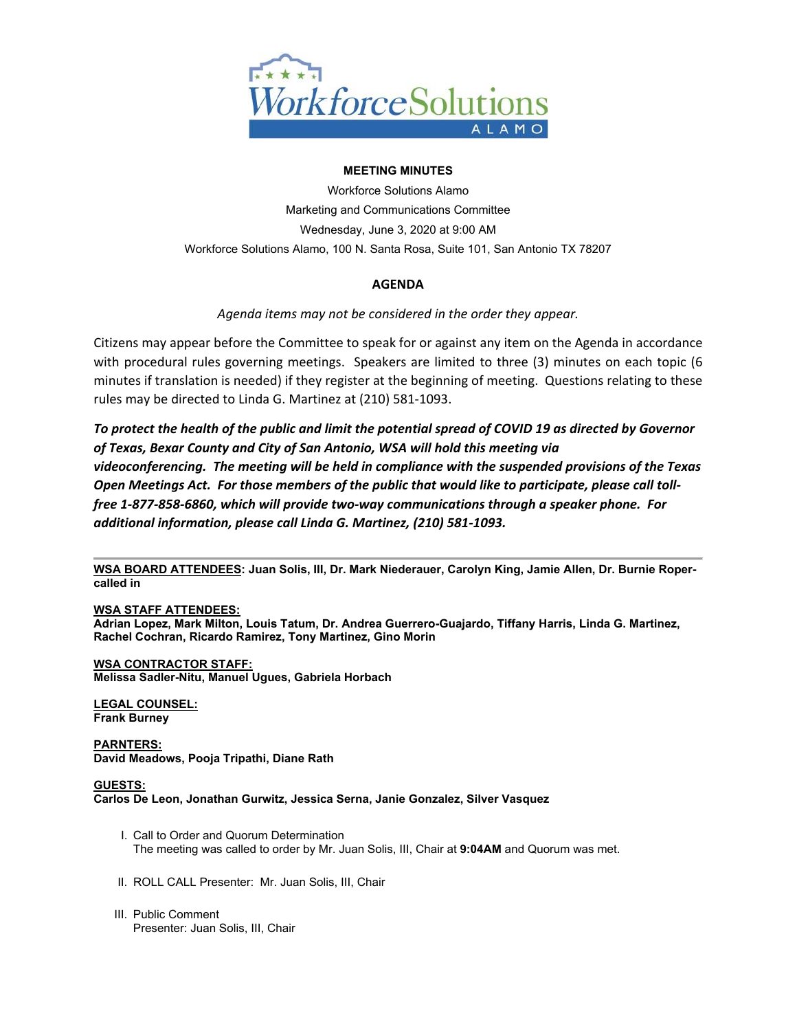

## **MEETING MINUTES**

Workforce Solutions Alamo Marketing and Communications Committee Wednesday, June 3, 2020 at 9:00 AM Workforce Solutions Alamo, 100 N. Santa Rosa, Suite 101, San Antonio TX 78207

# **AGENDA**

*Agenda items may not be considered in the order they appear.* 

Citizens may appear before the Committee to speak for or against any item on the Agenda in accordance with procedural rules governing meetings. Speakers are limited to three (3) minutes on each topic (6 minutes if translation is needed) if they register at the beginning of meeting. Questions relating to these rules may be directed to Linda G. Martinez at (210) 581‐1093.

*To protect the health of the public and limit the potential spread of COVID 19 as directed by Governor of Texas, Bexar County and City of San Antonio, WSA will hold this meeting via videoconferencing. The meeting will be held in compliance with the suspended provisions of the Texas Open Meetings Act. For those members of the public that would like to participate, please call toll‐ free 1‐877‐858‐6860, which will provide two‐way communications through a speaker phone. For additional information, please call Linda G. Martinez, (210) 581‐1093.* 

**WSA BOARD ATTENDEES: Juan Solis, III, Dr. Mark Niederauer, Carolyn King, Jamie Allen, Dr. Burnie Ropercalled in** 

### **WSA STAFF ATTENDEES:**

**Adrian Lopez, Mark Milton, Louis Tatum, Dr. Andrea Guerrero-Guajardo, Tiffany Harris, Linda G. Martinez, Rachel Cochran, Ricardo Ramirez, Tony Martinez, Gino Morin** 

### **WSA CONTRACTOR STAFF:**

**Melissa Sadler-Nitu, Manuel Ugues, Gabriela Horbach** 

# **LEGAL COUNSEL:**

**Frank Burney** 

**PARNTERS: David Meadows, Pooja Tripathi, Diane Rath** 

#### **GUESTS: Carlos De Leon, Jonathan Gurwitz, Jessica Serna, Janie Gonzalez, Silver Vasquez**

- I. Call to Order and Quorum Determination The meeting was called to order by Mr. Juan Solis, III, Chair at **9:04AM** and Quorum was met.
- II. ROLL CALL Presenter: Mr. Juan Solis, III, Chair
- III. Public Comment Presenter: Juan Solis, III, Chair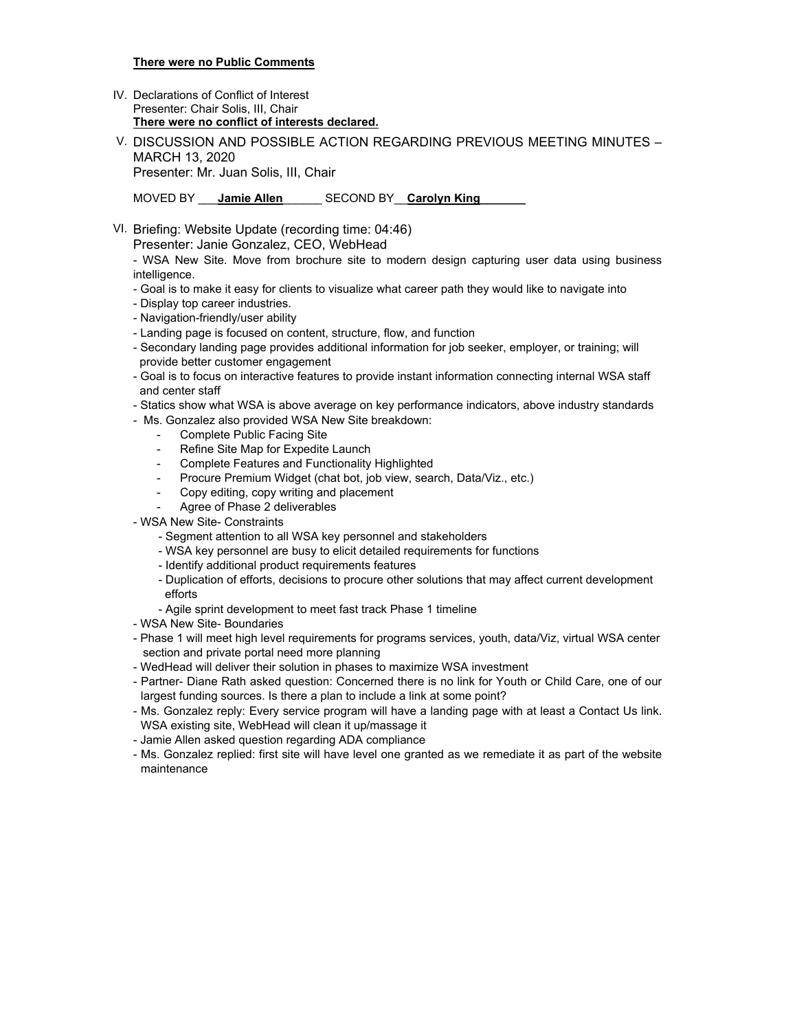### **There were no Public Comments**

- IV. Declarations of Conflict of Interest Presenter: Chair Solis, III, Chair **There were no conflict of interests declared.**
- V. DISCUSSION AND POSSIBLE ACTION REGARDING PREVIOUS MEETING MINUTES MARCH 13, 2020 Presenter: Mr. Juan Solis, III, Chair

MOVED BY **Jamie Allen** SECOND BY **Carolyn King** 

VI. Briefing: Website Update (recording time: 04:46)

Presenter: Janie Gonzalez, CEO, WebHead

- WSA New Site. Move from brochure site to modern design capturing user data using business intelligence.

- Goal is to make it easy for clients to visualize what career path they would like to navigate into
- Display top career industries.
- Navigation-friendly/user ability
- Landing page is focused on content, structure, flow, and function
- Secondary landing page provides additional information for job seeker, employer, or training; will provide better customer engagement
- Goal is to focus on interactive features to provide instant information connecting internal WSA staff and center staff
- Statics show what WSA is above average on key performance indicators, above industry standards
- Ms. Gonzalez also provided WSA New Site breakdown:
	- Complete Public Facing Site
	- Refine Site Map for Expedite Launch
	- Complete Features and Functionality Highlighted
	- Procure Premium Widget (chat bot, job view, search, Data/Viz., etc.)
	- Copy editing, copy writing and placement
	- Agree of Phase 2 deliverables
- WSA New Site- Constraints
	- Segment attention to all WSA key personnel and stakeholders
	- WSA key personnel are busy to elicit detailed requirements for functions
	- Identify additional product requirements features
	- Duplication of efforts, decisions to procure other solutions that may affect current development efforts
	- Agile sprint development to meet fast track Phase 1 timeline
- WSA New Site- Boundaries
- Phase 1 will meet high level requirements for programs services, youth, data/Viz, virtual WSA center section and private portal need more planning
- WedHead will deliver their solution in phases to maximize WSA investment
- Partner- Diane Rath asked question: Concerned there is no link for Youth or Child Care, one of our largest funding sources. Is there a plan to include a link at some point?
- Ms. Gonzalez reply: Every service program will have a landing page with at least a Contact Us link. WSA existing site, WebHead will clean it up/massage it
- Jamie Allen asked question regarding ADA compliance
- Ms. Gonzalez replied: first site will have level one granted as we remediate it as part of the website maintenance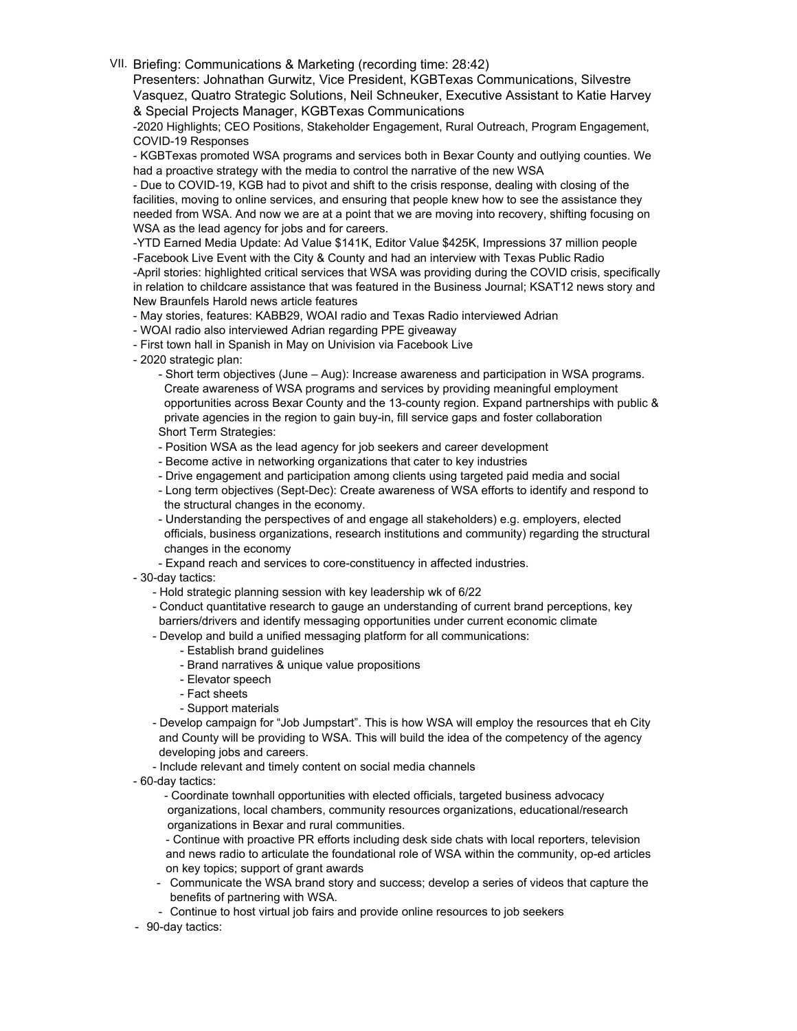VII. Briefing: Communications & Marketing (recording time: 28:42)

Presenters: Johnathan Gurwitz, Vice President, KGBTexas Communications, Silvestre Vasquez, Quatro Strategic Solutions, Neil Schneuker, Executive Assistant to Katie Harvey & Special Projects Manager, KGBTexas Communications

-2020 Highlights; CEO Positions, Stakeholder Engagement, Rural Outreach, Program Engagement, COVID-19 Responses

- KGBTexas promoted WSA programs and services both in Bexar County and outlying counties. We had a proactive strategy with the media to control the narrative of the new WSA

- Due to COVID-19, KGB had to pivot and shift to the crisis response, dealing with closing of the facilities, moving to online services, and ensuring that people knew how to see the assistance they needed from WSA. And now we are at a point that we are moving into recovery, shifting focusing on WSA as the lead agency for jobs and for careers.

-YTD Earned Media Update: Ad Value \$141K, Editor Value \$425K, Impressions 37 million people -Facebook Live Event with the City & County and had an interview with Texas Public Radio -April stories: highlighted critical services that WSA was providing during the COVID crisis, specifically in relation to childcare assistance that was featured in the Business Journal; KSAT12 news story and New Braunfels Harold news article features

- May stories, features: KABB29, WOAI radio and Texas Radio interviewed Adrian

- WOAI radio also interviewed Adrian regarding PPE giveaway
- First town hall in Spanish in May on Univision via Facebook Live
- 2020 strategic plan:

- Short term objectives (June – Aug): Increase awareness and participation in WSA programs. Create awareness of WSA programs and services by providing meaningful employment opportunities across Bexar County and the 13-county region. Expand partnerships with public & private agencies in the region to gain buy-in, fill service gaps and foster collaboration Short Term Strategies:

- Position WSA as the lead agency for job seekers and career development
- Become active in networking organizations that cater to key industries
- Drive engagement and participation among clients using targeted paid media and social
- Long term objectives (Sept-Dec): Create awareness of WSA efforts to identify and respond to the structural changes in the economy.
- Understanding the perspectives of and engage all stakeholders) e.g. employers, elected officials, business organizations, research institutions and community) regarding the structural changes in the economy
- Expand reach and services to core-constituency in affected industries.
- 30-day tactics:
	- Hold strategic planning session with key leadership wk of 6/22
	- Conduct quantitative research to gauge an understanding of current brand perceptions, key barriers/drivers and identify messaging opportunities under current economic climate
	- Develop and build a unified messaging platform for all communications:
		- Establish brand guidelines
		- Brand narratives & unique value propositions
		- Elevator speech
		- Fact sheets
		- Support materials
	- Develop campaign for "Job Jumpstart". This is how WSA will employ the resources that eh City and County will be providing to WSA. This will build the idea of the competency of the agency developing jobs and careers.
	- Include relevant and timely content on social media channels
- 60-day tactics:

- Coordinate townhall opportunities with elected officials, targeted business advocacy organizations, local chambers, community resources organizations, educational/research organizations in Bexar and rural communities.

- Continue with proactive PR efforts including desk side chats with local reporters, television and news radio to articulate the foundational role of WSA within the community, op-ed articles on key topics; support of grant awards

- Communicate the WSA brand story and success; develop a series of videos that capture the benefits of partnering with WSA.
- Continue to host virtual job fairs and provide online resources to job seekers
- 90-day tactics: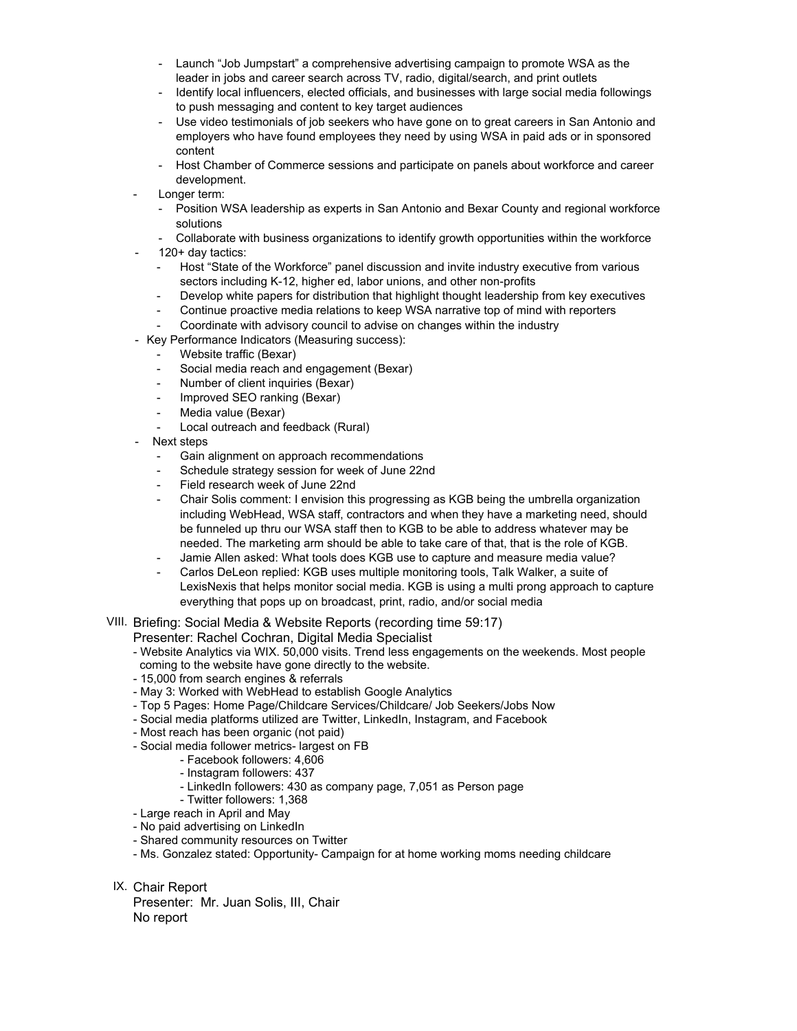- Launch "Job Jumpstart" a comprehensive advertising campaign to promote WSA as the leader in jobs and career search across TV, radio, digital/search, and print outlets
- Identify local influencers, elected officials, and businesses with large social media followings to push messaging and content to key target audiences
- Use video testimonials of job seekers who have gone on to great careers in San Antonio and employers who have found employees they need by using WSA in paid ads or in sponsored content
- Host Chamber of Commerce sessions and participate on panels about workforce and career development.
- Longer term:
	- Position WSA leadership as experts in San Antonio and Bexar County and regional workforce solutions
	- Collaborate with business organizations to identify growth opportunities within the workforce 120+ day tactics:
	- Host "State of the Workforce" panel discussion and invite industry executive from various sectors including K-12, higher ed, labor unions, and other non-profits
	- Develop white papers for distribution that highlight thought leadership from key executives
	- Continue proactive media relations to keep WSA narrative top of mind with reporters
	- Coordinate with advisory council to advise on changes within the industry
- Key Performance Indicators (Measuring success):
	- Website traffic (Bexar)
	- Social media reach and engagement (Bexar)
	- Number of client inquiries (Bexar)
	- Improved SEO ranking (Bexar)
	- Media value (Bexar)
	- Local outreach and feedback (Rural)
- Next steps
	- Gain alignment on approach recommendations
	- Schedule strategy session for week of June 22nd
	- Field research week of June 22nd
	- Chair Solis comment: I envision this progressing as KGB being the umbrella organization including WebHead, WSA staff, contractors and when they have a marketing need, should be funneled up thru our WSA staff then to KGB to be able to address whatever may be needed. The marketing arm should be able to take care of that, that is the role of KGB.
	- Jamie Allen asked: What tools does KGB use to capture and measure media value?
	- Carlos DeLeon replied: KGB uses multiple monitoring tools, Talk Walker, a suite of LexisNexis that helps monitor social media. KGB is using a multi prong approach to capture everything that pops up on broadcast, print, radio, and/or social media
- VIII. Briefing: Social Media & Website Reports (recording time 59:17)
	- Presenter: Rachel Cochran, Digital Media Specialist
	- Website Analytics via WIX. 50,000 visits. Trend less engagements on the weekends. Most people coming to the website have gone directly to the website.
	- 15,000 from search engines & referrals
	- May 3: Worked with WebHead to establish Google Analytics
	- Top 5 Pages: Home Page/Childcare Services/Childcare/ Job Seekers/Jobs Now
	- Social media platforms utilized are Twitter, LinkedIn, Instagram, and Facebook
	- Most reach has been organic (not paid)
	- Social media follower metrics- largest on FB
		- Facebook followers: 4,606
		- Instagram followers: 437
		- LinkedIn followers: 430 as company page, 7,051 as Person page
		- Twitter followers: 1,368
	- Large reach in April and May
	- No paid advertising on LinkedIn
	- Shared community resources on Twitter
	- Ms. Gonzalez stated: Opportunity- Campaign for at home working moms needing childcare
- IX. Chair Report

Presenter: Mr. Juan Solis, III, Chair No report